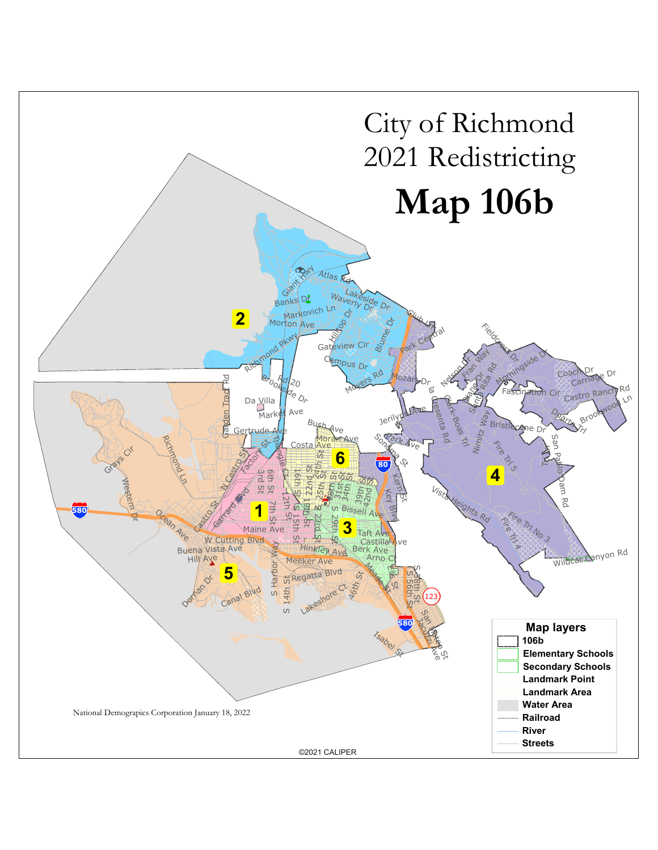